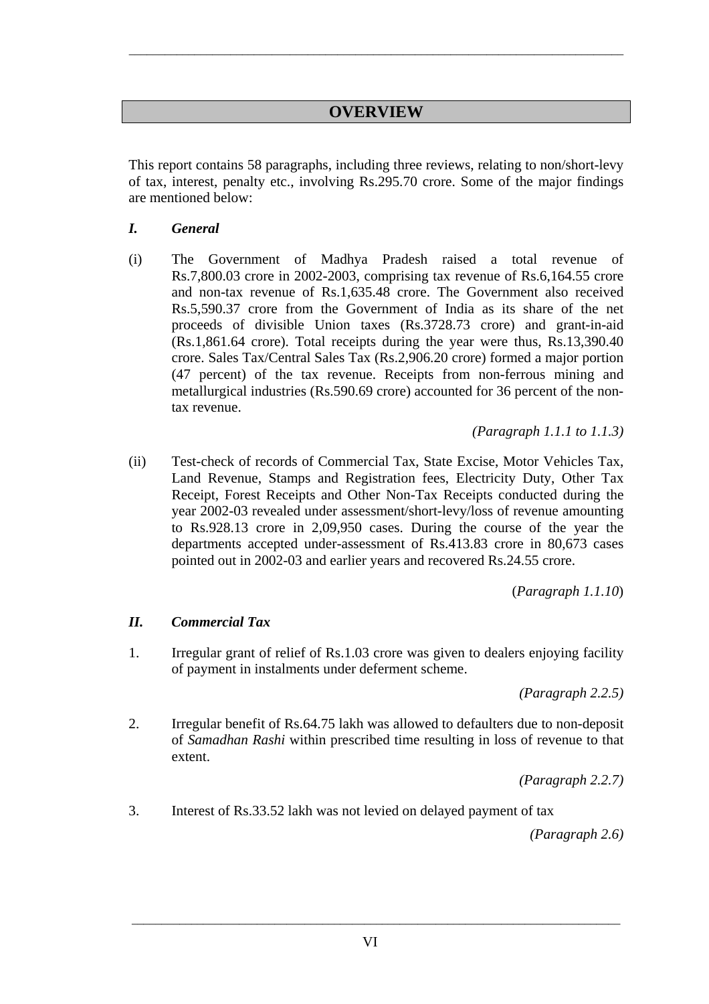# **OVERVIEW**

*\_\_\_\_\_\_\_\_\_\_\_\_\_\_\_\_\_\_\_\_\_\_\_\_\_\_\_\_\_\_\_\_\_\_\_\_\_\_\_\_\_\_\_\_\_\_\_\_\_\_\_\_\_\_\_\_\_\_\_\_\_\_\_\_\_\_\_\_\_\_\_\_\_\_\_\_\_\_\_\_\_\_\_* 

This report contains 58 paragraphs, including three reviews, relating to non/short-levy of tax, interest, penalty etc., involving Rs.295.70 crore. Some of the major findings are mentioned below:

#### *I. General*

(i) The Government of Madhya Pradesh raised a total revenue of Rs.7,800.03 crore in 2002-2003, comprising tax revenue of Rs.6,164.55 crore and non-tax revenue of Rs.1,635.48 crore. The Government also received Rs.5,590.37 crore from the Government of India as its share of the net proceeds of divisible Union taxes (Rs.3728.73 crore) and grant-in-aid (Rs.1,861.64 crore). Total receipts during the year were thus, Rs.13,390.40 crore. Sales Tax/Central Sales Tax (Rs.2,906.20 crore) formed a major portion (47 percent) of the tax revenue. Receipts from non-ferrous mining and metallurgical industries (Rs.590.69 crore) accounted for 36 percent of the nontax revenue.

*(Paragraph 1.1.1 to 1.1.3)* 

(ii) Test-check of records of Commercial Tax, State Excise, Motor Vehicles Tax, Land Revenue, Stamps and Registration fees, Electricity Duty, Other Tax Receipt, Forest Receipts and Other Non-Tax Receipts conducted during the year 2002-03 revealed under assessment/short-levy/loss of revenue amounting to Rs.928.13 crore in 2,09,950 cases. During the course of the year the departments accepted under-assessment of Rs.413.83 crore in 80,673 cases pointed out in 2002-03 and earlier years and recovered Rs.24.55 crore.

(*Paragraph 1.1.10*)

### *II. Commercial Tax*

1. Irregular grant of relief of Rs.1.03 crore was given to dealers enjoying facility of payment in instalments under deferment scheme.

*(Paragraph 2.2.5)* 

2. Irregular benefit of Rs.64.75 lakh was allowed to defaulters due to non-deposit of *Samadhan Rashi* within prescribed time resulting in loss of revenue to that extent.

*(Paragraph 2.2.7)* 

3. Interest of Rs.33.52 lakh was not levied on delayed payment of tax

*(Paragraph 2.6)* 

*\_\_\_\_\_\_\_\_\_\_\_\_\_\_\_\_\_\_\_\_\_\_\_\_\_\_\_\_\_\_\_\_\_\_\_\_\_\_\_\_\_\_\_\_\_\_\_\_\_\_\_\_\_\_\_\_\_\_\_\_\_\_\_\_\_\_\_\_\_\_\_\_\_\_\_\_\_\_\_\_\_\_*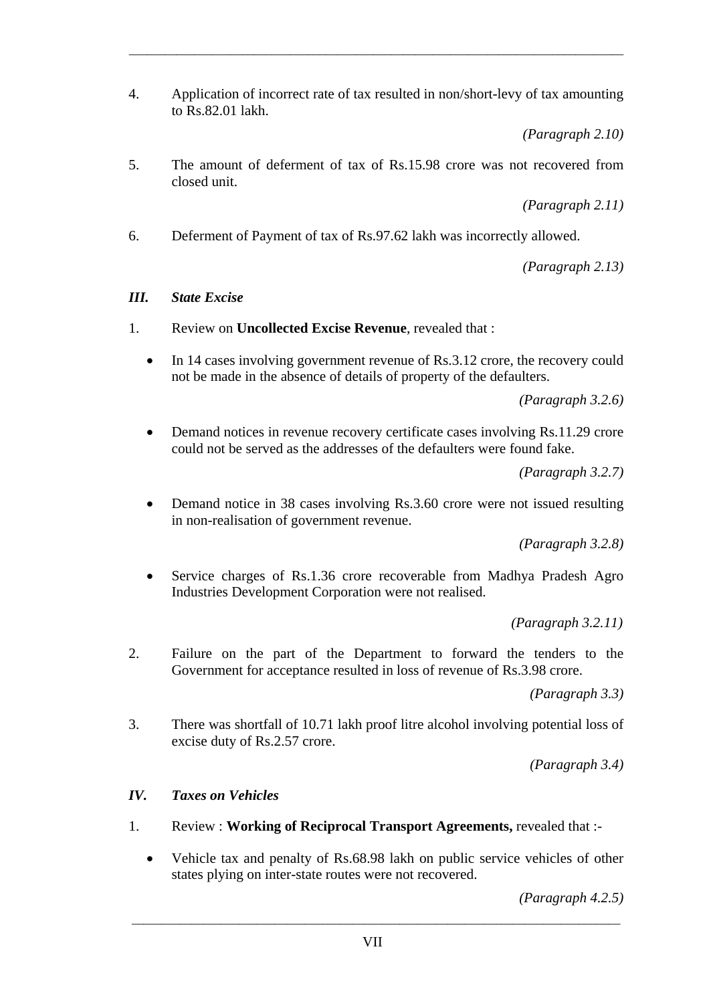4. Application of incorrect rate of tax resulted in non/short-levy of tax amounting to Rs.82.01 lakh.

*\_\_\_\_\_\_\_\_\_\_\_\_\_\_\_\_\_\_\_\_\_\_\_\_\_\_\_\_\_\_\_\_\_\_\_\_\_\_\_\_\_\_\_\_\_\_\_\_\_\_\_\_\_\_\_\_\_\_\_\_\_\_\_\_\_\_\_\_\_\_\_\_\_\_\_\_\_\_\_\_\_\_\_* 

*(Paragraph 2.10)* 

5. The amount of deferment of tax of Rs.15.98 crore was not recovered from closed unit.

*(Paragraph 2.11)* 

6. Deferment of Payment of tax of Rs.97.62 lakh was incorrectly allowed.

*(Paragraph 2.13)* 

### *III. State Excise*

- 1. Review on **Uncollected Excise Revenue**, revealed that :
	- In 14 cases involving government revenue of Rs.3.12 crore, the recovery could not be made in the absence of details of property of the defaulters.

*(Paragraph 3.2.6)* 

• Demand notices in revenue recovery certificate cases involving Rs.11.29 crore could not be served as the addresses of the defaulters were found fake.

*(Paragraph 3.2.7)* 

• Demand notice in 38 cases involving Rs.3.60 crore were not issued resulting in non-realisation of government revenue.

*(Paragraph 3.2.8)* 

• Service charges of Rs.1.36 crore recoverable from Madhya Pradesh Agro Industries Development Corporation were not realised.

*(Paragraph 3.2.11)* 

2. Failure on the part of the Department to forward the tenders to the Government for acceptance resulted in loss of revenue of Rs.3.98 crore.

*(Paragraph 3.3)* 

3. There was shortfall of 10.71 lakh proof litre alcohol involving potential loss of excise duty of Rs.2.57 crore.

*(Paragraph 3.4)* 

# *IV. Taxes on Vehicles*

- 1. Review : **Working of Reciprocal Transport Agreements,** revealed that :-
	- Vehicle tax and penalty of Rs.68.98 lakh on public service vehicles of other states plying on inter-state routes were not recovered.

*(Paragraph 4.2.5)*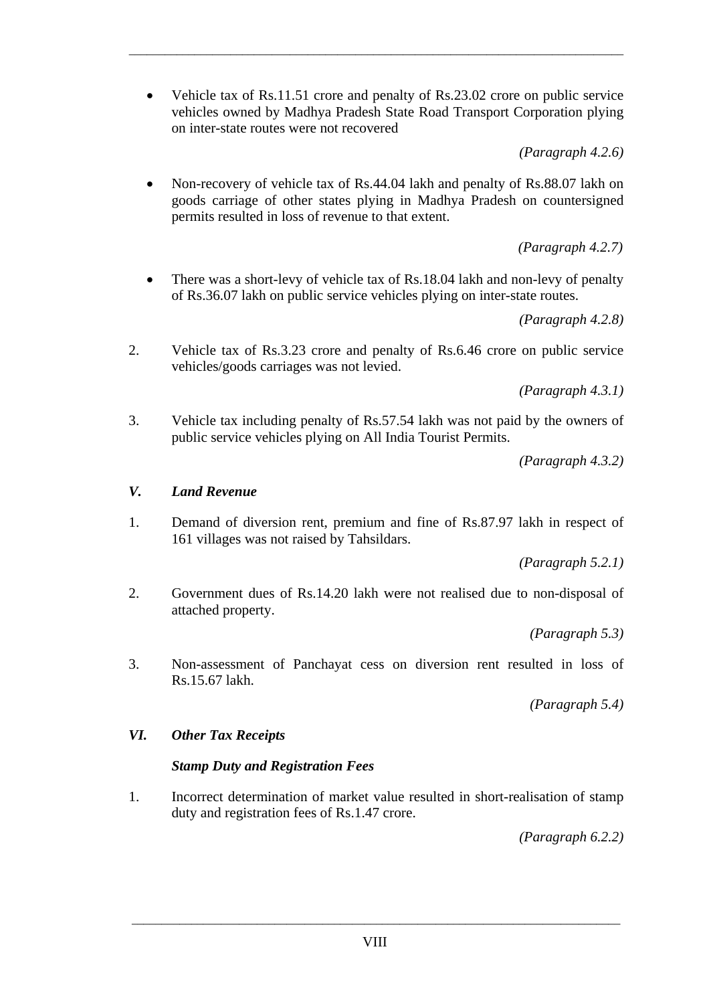• Vehicle tax of Rs.11.51 crore and penalty of Rs.23.02 crore on public service vehicles owned by Madhya Pradesh State Road Transport Corporation plying on inter-state routes were not recovered

*\_\_\_\_\_\_\_\_\_\_\_\_\_\_\_\_\_\_\_\_\_\_\_\_\_\_\_\_\_\_\_\_\_\_\_\_\_\_\_\_\_\_\_\_\_\_\_\_\_\_\_\_\_\_\_\_\_\_\_\_\_\_\_\_\_\_\_\_\_\_\_\_\_\_\_\_\_\_\_\_\_\_\_* 

*(Paragraph 4.2.6)* 

 • Non-recovery of vehicle tax of Rs.44.04 lakh and penalty of Rs.88.07 lakh on goods carriage of other states plying in Madhya Pradesh on countersigned permits resulted in loss of revenue to that extent.

*(Paragraph 4.2.7)*

• There was a short-levy of vehicle tax of Rs.18.04 lakh and non-levy of penalty of Rs.36.07 lakh on public service vehicles plying on inter-state routes.

*(Paragraph 4.2.8)* 

2. Vehicle tax of Rs.3.23 crore and penalty of Rs.6.46 crore on public service vehicles/goods carriages was not levied.

*(Paragraph 4.3.1)* 

3. Vehicle tax including penalty of Rs.57.54 lakh was not paid by the owners of public service vehicles plying on All India Tourist Permits.

*(Paragraph 4.3.2)* 

## *V. Land Revenue*

1. Demand of diversion rent, premium and fine of Rs.87.97 lakh in respect of 161 villages was not raised by Tahsildars.

 *(Paragraph 5.2.1)* 

2. Government dues of Rs.14.20 lakh were not realised due to non-disposal of attached property.

*(Paragraph 5.3)* 

3. Non-assessment of Panchayat cess on diversion rent resulted in loss of Rs.15.67 lakh.

*(Paragraph 5.4)* 

### *VI. Other Tax Receipts*

# *Stamp Duty and Registration Fees*

1. Incorrect determination of market value resulted in short-realisation of stamp duty and registration fees of Rs.1.47 crore.

*(Paragraph 6.2.2)*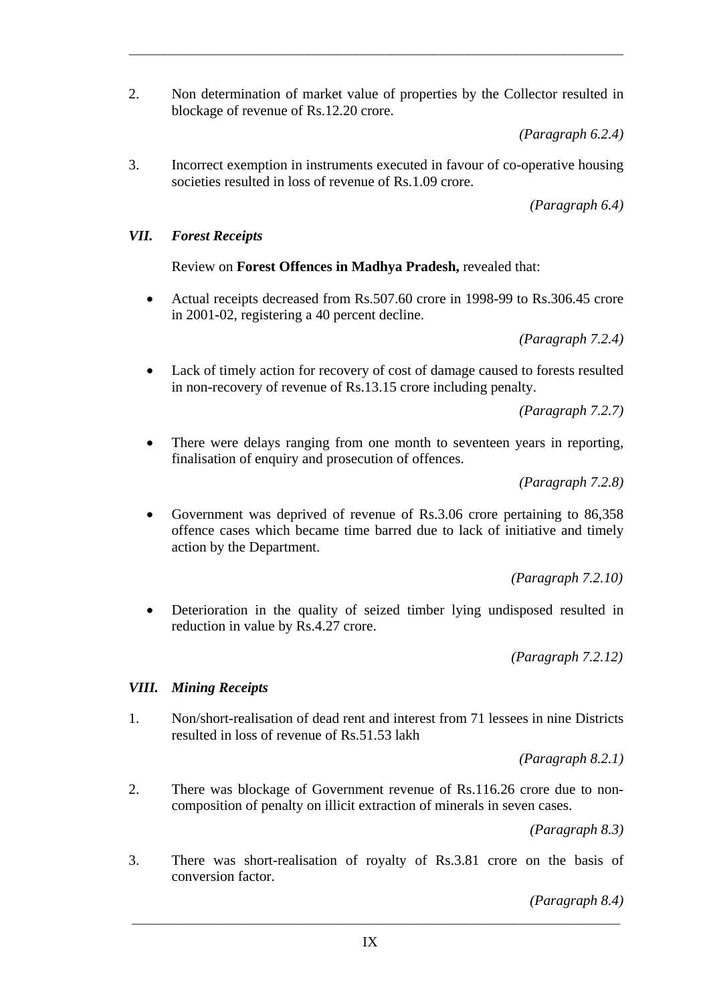2. Non determination of market value of properties by the Collector resulted in blockage of revenue of Rs.12.20 crore.

*\_\_\_\_\_\_\_\_\_\_\_\_\_\_\_\_\_\_\_\_\_\_\_\_\_\_\_\_\_\_\_\_\_\_\_\_\_\_\_\_\_\_\_\_\_\_\_\_\_\_\_\_\_\_\_\_\_\_\_\_\_\_\_\_\_\_\_\_\_\_\_\_\_\_\_\_\_\_\_\_\_\_\_* 

*(Paragraph 6.2.4)* 

3. Incorrect exemption in instruments executed in favour of co-operative housing societies resulted in loss of revenue of Rs.1.09 crore.

*(Paragraph 6.4)* 

#### *VII. Forest Receipts*

Review on **Forest Offences in Madhya Pradesh,** revealed that:

• Actual receipts decreased from Rs.507.60 crore in 1998-99 to Rs.306.45 crore in 2001-02, registering a 40 percent decline.

*(Paragraph 7.2.4)* 

Lack of timely action for recovery of cost of damage caused to forests resulted in non-recovery of revenue of Rs.13.15 crore including penalty.

*(Paragraph 7.2.7)* 

There were delays ranging from one month to seventeen years in reporting, finalisation of enquiry and prosecution of offences.

*(Paragraph 7.2.8)* 

 • Government was deprived of revenue of Rs.3.06 crore pertaining to 86,358 offence cases which became time barred due to lack of initiative and timely action by the Department.

*(Paragraph 7.2.10)* 

 • Deterioration in the quality of seized timber lying undisposed resulted in reduction in value by Rs.4.27 crore.

*(Paragraph 7.2.12)* 

#### *VIII. Mining Receipts*

1. Non/short-realisation of dead rent and interest from 71 lessees in nine Districts resulted in loss of revenue of Rs.51.53 lakh

*(Paragraph 8.2.1)* 

2. There was blockage of Government revenue of Rs.116.26 crore due to noncomposition of penalty on illicit extraction of minerals in seven cases.

*(Paragraph 8.3)* 

3. There was short-realisation of royalty of Rs.3.81 crore on the basis of conversion factor.

*\_\_\_\_\_\_\_\_\_\_\_\_\_\_\_\_\_\_\_\_\_\_\_\_\_\_\_\_\_\_\_\_\_\_\_\_\_\_\_\_\_\_\_\_\_\_\_\_\_\_\_\_\_\_\_\_\_\_\_\_\_\_\_\_\_\_\_\_\_\_\_\_\_\_\_\_\_\_\_\_\_\_* 

*(Paragraph 8.4)*